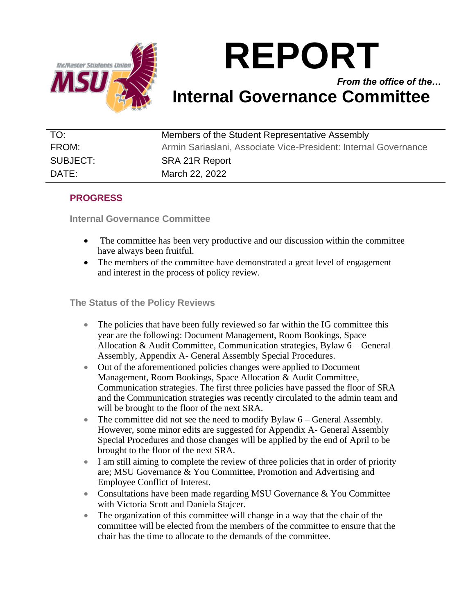

# **REPORT**

*From the office of the…* **Internal Governance Committee**

| TO:      | Members of the Student Representative Assembly                  |
|----------|-----------------------------------------------------------------|
| FROM:    | Armin Sariaslani, Associate Vice-President: Internal Governance |
| SUBJECT: | SRA 21R Report                                                  |
| DATE:    | March 22, 2022                                                  |

## **PROGRESS**

**Internal Governance Committee** 

- The committee has been very productive and our discussion within the committee have always been fruitful.
- The members of the committee have demonstrated a great level of engagement and interest in the process of policy review.

#### **The Status of the Policy Reviews**

- The policies that have been fully reviewed so far within the IG committee this year are the following: Document Management, Room Bookings, Space Allocation & Audit Committee, Communication strategies, Bylaw 6 – General Assembly, Appendix A- General Assembly Special Procedures.
- Out of the aforementioned policies changes were applied to Document Management, Room Bookings, Space Allocation & Audit Committee, Communication strategies. The first three policies have passed the floor of SRA and the Communication strategies was recently circulated to the admin team and will be brought to the floor of the next SRA.
- The committee did not see the need to modify Bylaw 6 General Assembly. However, some minor edits are suggested for Appendix A- General Assembly Special Procedures and those changes will be applied by the end of April to be brought to the floor of the next SRA.
- I am still aiming to complete the review of three policies that in order of priority are; MSU Governance & You Committee, Promotion and Advertising and Employee Conflict of Interest.
- Consultations have been made regarding MSU Governance & You Committee with Victoria Scott and Daniela Stajcer.
- The organization of this committee will change in a way that the chair of the committee will be elected from the members of the committee to ensure that the chair has the time to allocate to the demands of the committee.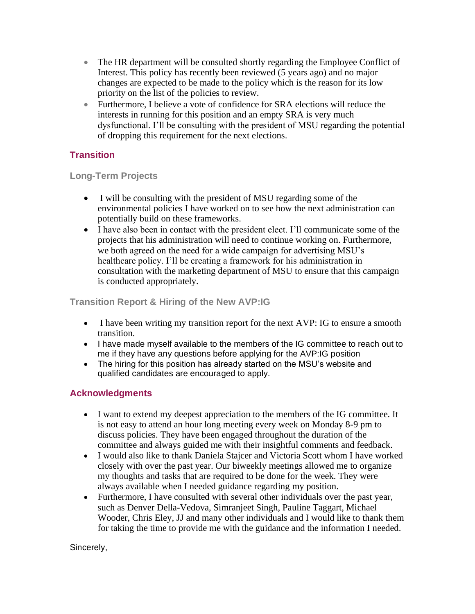- The HR department will be consulted shortly regarding the Employee Conflict of Interest. This policy has recently been reviewed (5 years ago) and no major changes are expected to be made to the policy which is the reason for its low priority on the list of the policies to review.
- Furthermore, I believe a vote of confidence for SRA elections will reduce the interests in running for this position and an empty SRA is very much dysfunctional. I'll be consulting with the president of MSU regarding the potential of dropping this requirement for the next elections.

## **Transition**

**Long-Term Projects**

- I will be consulting with the president of MSU regarding some of the environmental policies I have worked on to see how the next administration can potentially build on these frameworks.
- I have also been in contact with the president elect. I'll communicate some of the projects that his administration will need to continue working on. Furthermore, we both agreed on the need for a wide campaign for advertising MSU's healthcare policy. I'll be creating a framework for his administration in consultation with the marketing department of MSU to ensure that this campaign is conducted appropriately.

### **Transition Report & Hiring of the New AVP:IG**

- I have been writing my transition report for the next AVP: IG to ensure a smooth transition.
- I have made myself available to the members of the IG committee to reach out to me if they have any questions before applying for the AVP:IG position
- The hiring for this position has already started on the MSU's website and qualified candidates are encouraged to apply.

#### **Acknowledgments**

- I want to extend my deepest appreciation to the members of the IG committee. It is not easy to attend an hour long meeting every week on Monday 8-9 pm to discuss policies. They have been engaged throughout the duration of the committee and always guided me with their insightful comments and feedback.
- I would also like to thank Daniela Stajcer and Victoria Scott whom I have worked closely with over the past year. Our biweekly meetings allowed me to organize my thoughts and tasks that are required to be done for the week. They were always available when I needed guidance regarding my position.
- Furthermore, I have consulted with several other individuals over the past year, such as Denver Della-Vedova, Simranjeet Singh, Pauline Taggart, Michael Wooder, Chris Eley, JJ and many other individuals and I would like to thank them for taking the time to provide me with the guidance and the information I needed.

Sincerely,